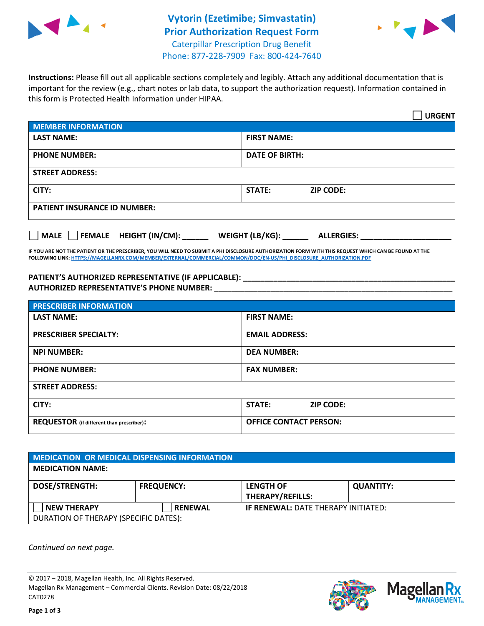



**Instructions:** Please fill out all applicable sections completely and legibly. Attach any additional documentation that is important for the review (e.g., chart notes or lab data, to support the authorization request). Information contained in this form is Protected Health Information under HIPAA.

|                                     | <b>URGENT</b>                        |  |
|-------------------------------------|--------------------------------------|--|
| <b>MEMBER INFORMATION</b>           |                                      |  |
| <b>LAST NAME:</b>                   | <b>FIRST NAME:</b>                   |  |
| <b>PHONE NUMBER:</b>                | <b>DATE OF BIRTH:</b>                |  |
| <b>STREET ADDRESS:</b>              |                                      |  |
| CITY:                               | <b>ZIP CODE:</b><br>STATE:           |  |
| <b>PATIENT INSURANCE ID NUMBER:</b> |                                      |  |
| FEMALE HEIGHT (IN/CM):<br>    MALE  | WEIGHT (LB/KG):<br><b>ALLERGIES:</b> |  |

**IF YOU ARE NOT THE PATIENT OR THE PRESCRIBER, YOU WILL NEED TO SUBMIT A PHI DISCLOSURE AUTHORIZATION FORM WITH THIS REQUEST WHICH CAN BE FOUND AT THE FOLLOWING LINK[: HTTPS://MAGELLANRX.COM/MEMBER/EXTERNAL/COMMERCIAL/COMMON/DOC/EN-US/PHI\\_DISCLOSURE\\_AUTHORIZATION.PDF](https://magellanrx.com/member/external/commercial/common/doc/en-us/PHI_Disclosure_Authorization.pdf)**

PATIENT'S AUTHORIZED REPRESENTATIVE (IF APPLICABLE): **AUTHORIZED REPRESENTATIVE'S PHONE NUMBER:** \_\_\_\_\_\_\_\_\_\_\_\_\_\_\_\_\_\_\_\_\_\_\_\_\_\_\_\_\_\_\_\_\_\_\_\_\_\_\_\_\_\_\_\_\_\_\_\_\_\_\_\_\_\_\_

| <b>PRESCRIBER INFORMATION</b>             |                               |  |  |  |
|-------------------------------------------|-------------------------------|--|--|--|
| <b>LAST NAME:</b>                         | <b>FIRST NAME:</b>            |  |  |  |
| <b>PRESCRIBER SPECIALTY:</b>              | <b>EMAIL ADDRESS:</b>         |  |  |  |
| <b>NPI NUMBER:</b>                        | <b>DEA NUMBER:</b>            |  |  |  |
| <b>PHONE NUMBER:</b>                      | <b>FAX NUMBER:</b>            |  |  |  |
| <b>STREET ADDRESS:</b>                    |                               |  |  |  |
| CITY:                                     | STATE:<br><b>ZIP CODE:</b>    |  |  |  |
| REQUESTOR (if different than prescriber): | <b>OFFICE CONTACT PERSON:</b> |  |  |  |

| <b>MEDICATION OR MEDICAL DISPENSING INFORMATION</b> |                   |                                            |                  |  |  |
|-----------------------------------------------------|-------------------|--------------------------------------------|------------------|--|--|
| <b>MEDICATION NAME:</b>                             |                   |                                            |                  |  |  |
| <b>DOSE/STRENGTH:</b>                               | <b>FREQUENCY:</b> | <b>LENGTH OF</b>                           | <b>QUANTITY:</b> |  |  |
|                                                     |                   | <b>THERAPY/REFILLS:</b>                    |                  |  |  |
| <b>NEW THERAPY</b>                                  | <b>RENEWAL</b>    | <b>IF RENEWAL: DATE THERAPY INITIATED:</b> |                  |  |  |
| DURATION OF THERAPY (SPECIFIC DATES):               |                   |                                            |                  |  |  |

*Continued on next page.*

© 2017 – 2018, Magellan Health, Inc. All Rights Reserved. Magellan Rx Management – Commercial Clients. Revision Date: 08/22/2018 CAT0278



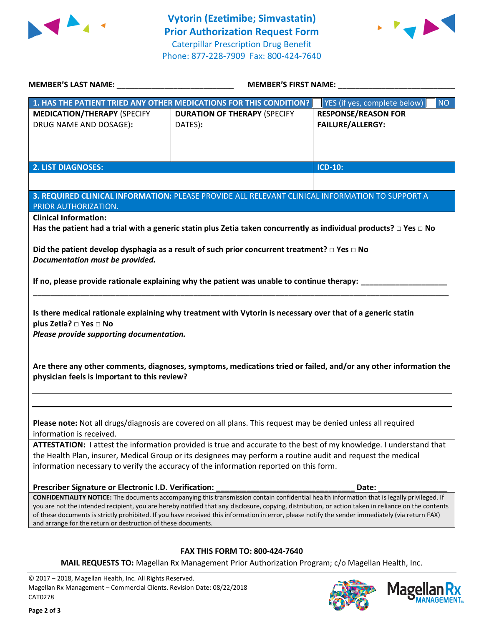



|                                                                                                                                                | MEMBER'S FIRST NAME:                                                                                                                                                                                                                                                                                                                                                                                                                                   |                                                       |  |
|------------------------------------------------------------------------------------------------------------------------------------------------|--------------------------------------------------------------------------------------------------------------------------------------------------------------------------------------------------------------------------------------------------------------------------------------------------------------------------------------------------------------------------------------------------------------------------------------------------------|-------------------------------------------------------|--|
|                                                                                                                                                | 1. HAS THE PATIENT TRIED ANY OTHER MEDICATIONS FOR THIS CONDITION?                                                                                                                                                                                                                                                                                                                                                                                     | <b>NO</b><br>YES (if yes, complete below)             |  |
| <b>MEDICATION/THERAPY (SPECIFY</b><br>DRUG NAME AND DOSAGE):                                                                                   | <b>DURATION OF THERAPY (SPECIFY</b><br>DATES):                                                                                                                                                                                                                                                                                                                                                                                                         | <b>RESPONSE/REASON FOR</b><br><b>FAILURE/ALLERGY:</b> |  |
| <b>2. LIST DIAGNOSES:</b>                                                                                                                      |                                                                                                                                                                                                                                                                                                                                                                                                                                                        | <b>ICD-10:</b>                                        |  |
| PRIOR AUTHORIZATION.                                                                                                                           | 3. REQUIRED CLINICAL INFORMATION: PLEASE PROVIDE ALL RELEVANT CLINICAL INFORMATION TO SUPPORT A                                                                                                                                                                                                                                                                                                                                                        |                                                       |  |
| <b>Clinical Information:</b>                                                                                                                   | Has the patient had a trial with a generic statin plus Zetia taken concurrently as individual products? $\Box$ Yes $\Box$ No                                                                                                                                                                                                                                                                                                                           |                                                       |  |
| Documentation must be provided.                                                                                                                | Did the patient develop dysphagia as a result of such prior concurrent treatment? $\Box$ Yes $\Box$ No                                                                                                                                                                                                                                                                                                                                                 |                                                       |  |
|                                                                                                                                                | If no, please provide rationale explaining why the patient was unable to continue therapy:                                                                                                                                                                                                                                                                                                                                                             |                                                       |  |
| plus Zetia? □ Yes □ No<br>Please provide supporting documentation.                                                                             | Is there medical rationale explaining why treatment with Vytorin is necessary over that of a generic statin                                                                                                                                                                                                                                                                                                                                            |                                                       |  |
| physician feels is important to this review?                                                                                                   | Are there any other comments, diagnoses, symptoms, medications tried or failed, and/or any other information the                                                                                                                                                                                                                                                                                                                                       |                                                       |  |
|                                                                                                                                                |                                                                                                                                                                                                                                                                                                                                                                                                                                                        |                                                       |  |
| information is received.                                                                                                                       | Please note: Not all drugs/diagnosis are covered on all plans. This request may be denied unless all required                                                                                                                                                                                                                                                                                                                                          |                                                       |  |
|                                                                                                                                                | ATTESTATION: I attest the information provided is true and accurate to the best of my knowledge. I understand that<br>the Health Plan, insurer, Medical Group or its designees may perform a routine audit and request the medical<br>information necessary to verify the accuracy of the information reported on this form.                                                                                                                           |                                                       |  |
| Prescriber Signature or Electronic I.D. Verification:                                                                                          |                                                                                                                                                                                                                                                                                                                                                                                                                                                        | Date:                                                 |  |
| and arrange for the return or destruction of these documents.                                                                                  | CONFIDENTIALITY NOTICE: The documents accompanying this transmission contain confidential health information that is legally privileged. If<br>you are not the intended recipient, you are hereby notified that any disclosure, copying, distribution, or action taken in reliance on the contents<br>of these documents is strictly prohibited. If you have received this information in error, please notify the sender immediately (via return FAX) |                                                       |  |
|                                                                                                                                                | FAX THIS FORM TO: 800-424-7640                                                                                                                                                                                                                                                                                                                                                                                                                         |                                                       |  |
|                                                                                                                                                | MAIL REQUESTS TO: Magellan Rx Management Prior Authorization Program; c/o Magellan Health, Inc.                                                                                                                                                                                                                                                                                                                                                        |                                                       |  |
| © 2017 - 2018, Magellan Health, Inc. All Rights Reserved.<br>Magellan Rx Management - Commercial Clients. Revision Date: 08/22/2018<br>CAT0278 |                                                                                                                                                                                                                                                                                                                                                                                                                                                        | <b>Magel</b>                                          |  |